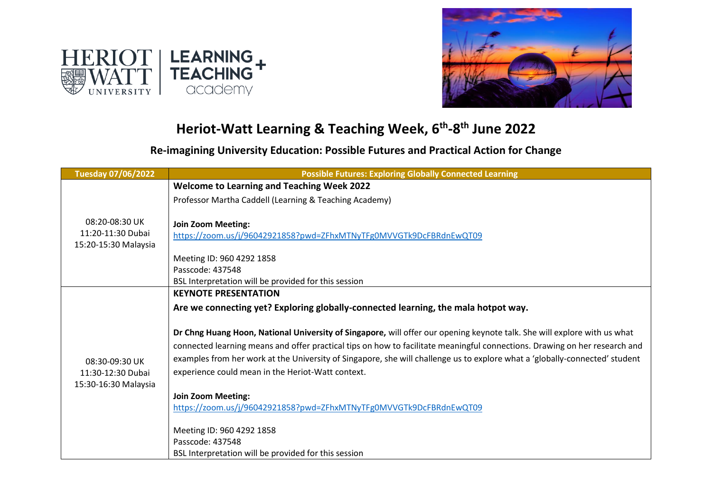



## **Heriot-Watt Learning & Teaching Week, 6th -8 th June 2022**

**Re-imagining University Education: Possible Futures and Practical Action for Change**

| <b>Tuesday 07/06/2022</b>                                   | <b>Possible Futures: Exploring Globally Connected Learning</b>                                                                                                                                                                                                                                                                                                                                                                             |
|-------------------------------------------------------------|--------------------------------------------------------------------------------------------------------------------------------------------------------------------------------------------------------------------------------------------------------------------------------------------------------------------------------------------------------------------------------------------------------------------------------------------|
|                                                             | <b>Welcome to Learning and Teaching Week 2022</b>                                                                                                                                                                                                                                                                                                                                                                                          |
| 08:20-08:30 UK<br>11:20-11:30 Dubai<br>15:20-15:30 Malaysia | Professor Martha Caddell (Learning & Teaching Academy)                                                                                                                                                                                                                                                                                                                                                                                     |
|                                                             | <b>Join Zoom Meeting:</b><br>https://zoom.us/j/96042921858?pwd=ZFhxMTNyTFg0MVVGTk9DcFBRdnEwQT09<br>Meeting ID: 960 4292 1858<br>Passcode: 437548                                                                                                                                                                                                                                                                                           |
|                                                             | BSL Interpretation will be provided for this session                                                                                                                                                                                                                                                                                                                                                                                       |
|                                                             | <b>KEYNOTE PRESENTATION</b><br>Are we connecting yet? Exploring globally-connected learning, the mala hotpot way.                                                                                                                                                                                                                                                                                                                          |
|                                                             |                                                                                                                                                                                                                                                                                                                                                                                                                                            |
| 08:30-09:30 UK<br>11:30-12:30 Dubai<br>15:30-16:30 Malaysia | Dr Chng Huang Hoon, National University of Singapore, will offer our opening keynote talk. She will explore with us what<br>connected learning means and offer practical tips on how to facilitate meaningful connections. Drawing on her research and<br>examples from her work at the University of Singapore, she will challenge us to explore what a 'globally-connected' student<br>experience could mean in the Heriot-Watt context. |
|                                                             | <b>Join Zoom Meeting:</b>                                                                                                                                                                                                                                                                                                                                                                                                                  |
|                                                             | https://zoom.us/j/96042921858?pwd=ZFhxMTNyTFg0MVVGTk9DcFBRdnEwQT09                                                                                                                                                                                                                                                                                                                                                                         |
|                                                             | Meeting ID: 960 4292 1858<br>Passcode: 437548<br>BSL Interpretation will be provided for this session                                                                                                                                                                                                                                                                                                                                      |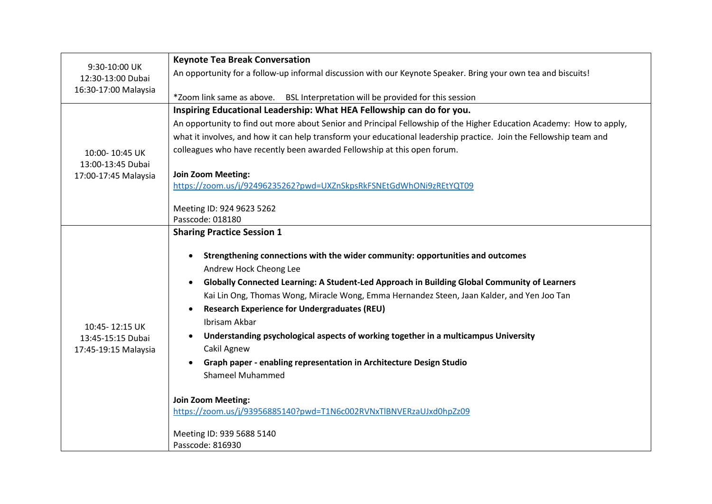| 9:30-10:00 UK        | <b>Keynote Tea Break Conversation</b>                                                                                |
|----------------------|----------------------------------------------------------------------------------------------------------------------|
| 12:30-13:00 Dubai    | An opportunity for a follow-up informal discussion with our Keynote Speaker. Bring your own tea and biscuits!        |
| 16:30-17:00 Malaysia |                                                                                                                      |
|                      | *Zoom link same as above.  BSL Interpretation will be provided for this session                                      |
|                      | Inspiring Educational Leadership: What HEA Fellowship can do for you.                                                |
|                      | An opportunity to find out more about Senior and Principal Fellowship of the Higher Education Academy: How to apply, |
|                      | what it involves, and how it can help transform your educational leadership practice. Join the Fellowship team and   |
| 10:00-10:45 UK       | colleagues who have recently been awarded Fellowship at this open forum.                                             |
| 13:00-13:45 Dubai    |                                                                                                                      |
| 17:00-17:45 Malaysia | <b>Join Zoom Meeting:</b><br>https://zoom.us/j/92496235262?pwd=UXZnSkpsRkFSNEtGdWhONi9zREtYQT09                      |
|                      |                                                                                                                      |
|                      | Meeting ID: 924 9623 5262                                                                                            |
|                      | Passcode: 018180                                                                                                     |
|                      | <b>Sharing Practice Session 1</b>                                                                                    |
|                      |                                                                                                                      |
|                      | Strengthening connections with the wider community: opportunities and outcomes                                       |
|                      | Andrew Hock Cheong Lee                                                                                               |
|                      | Globally Connected Learning: A Student-Led Approach in Building Global Community of Learners                         |
|                      | Kai Lin Ong, Thomas Wong, Miracle Wong, Emma Hernandez Steen, Jaan Kalder, and Yen Joo Tan                           |
|                      | <b>Research Experience for Undergraduates (REU)</b>                                                                  |
| 10:45-12:15 UK       | Ibrisam Akbar                                                                                                        |
| 13:45-15:15 Dubai    | Understanding psychological aspects of working together in a multicampus University                                  |
| 17:45-19:15 Malaysia | <b>Cakil Agnew</b>                                                                                                   |
|                      | Graph paper - enabling representation in Architecture Design Studio                                                  |
|                      | <b>Shameel Muhammed</b>                                                                                              |
|                      | <b>Join Zoom Meeting:</b>                                                                                            |
|                      | https://zoom.us/j/93956885140?pwd=T1N6c002RVNxTlBNVERzaUJxd0hpZz09                                                   |
|                      |                                                                                                                      |
|                      | Meeting ID: 939 5688 5140                                                                                            |
|                      | Passcode: 816930                                                                                                     |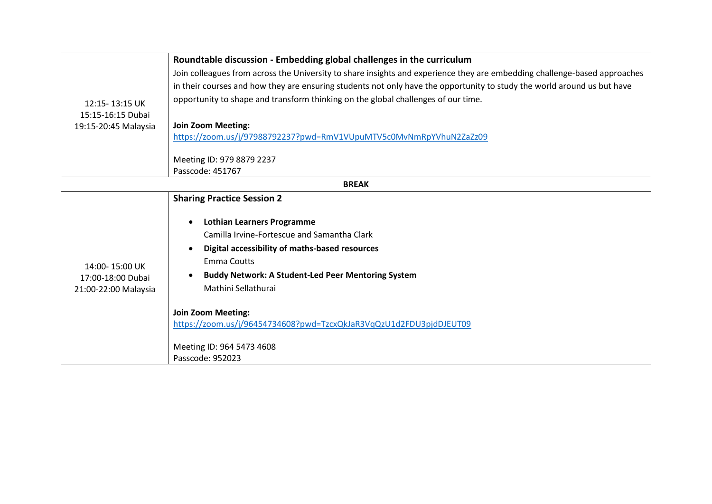|                                                             | Roundtable discussion - Embedding global challenges in the curriculum                                                     |
|-------------------------------------------------------------|---------------------------------------------------------------------------------------------------------------------------|
| 12:15-13:15 UK                                              | Join colleagues from across the University to share insights and experience they are embedding challenge-based approaches |
|                                                             | in their courses and how they are ensuring students not only have the opportunity to study the world around us but have   |
|                                                             | opportunity to shape and transform thinking on the global challenges of our time.                                         |
| 15:15-16:15 Dubai                                           |                                                                                                                           |
| 19:15-20:45 Malaysia                                        | <b>Join Zoom Meeting:</b>                                                                                                 |
|                                                             | https://zoom.us/j/97988792237?pwd=RmV1VUpuMTV5c0MvNmRpYVhuN2ZaZz09                                                        |
|                                                             | Meeting ID: 979 8879 2237                                                                                                 |
|                                                             | Passcode: 451767                                                                                                          |
| <b>BREAK</b>                                                |                                                                                                                           |
|                                                             | <b>Sharing Practice Session 2</b>                                                                                         |
|                                                             | <b>Lothian Learners Programme</b>                                                                                         |
|                                                             | Camilla Irvine-Fortescue and Samantha Clark                                                                               |
|                                                             |                                                                                                                           |
|                                                             | Digital accessibility of maths-based resources                                                                            |
| 14:00-15:00 UK<br>17:00-18:00 Dubai<br>21:00-22:00 Malaysia | <b>Emma Coutts</b>                                                                                                        |
|                                                             | <b>Buddy Network: A Student-Led Peer Mentoring System</b>                                                                 |
|                                                             | Mathini Sellathurai                                                                                                       |
|                                                             | <b>Join Zoom Meeting:</b>                                                                                                 |
|                                                             | https://zoom.us/j/96454734608?pwd=TzcxQkJaR3VqQzU1d2FDU3pjdDJEUT09                                                        |
|                                                             |                                                                                                                           |
|                                                             | Meeting ID: 964 5473 4608                                                                                                 |
|                                                             | Passcode: 952023                                                                                                          |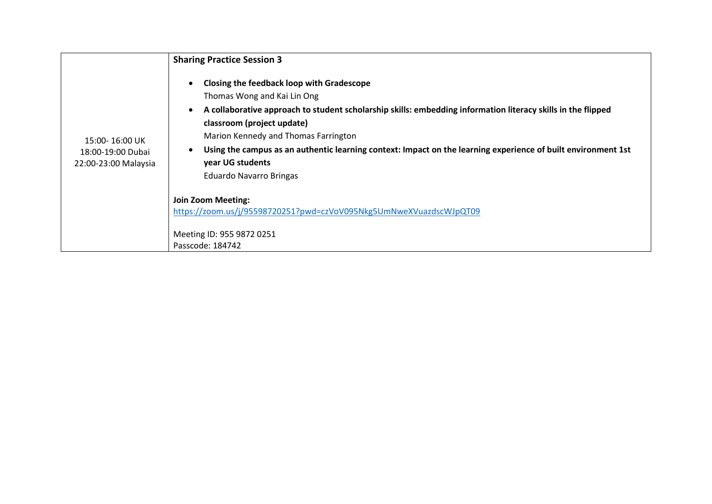|                                                             | <b>Sharing Practice Session 3</b>                                                                                                                                                                                                                                                                                                                                                                                                     |
|-------------------------------------------------------------|---------------------------------------------------------------------------------------------------------------------------------------------------------------------------------------------------------------------------------------------------------------------------------------------------------------------------------------------------------------------------------------------------------------------------------------|
| 15:00-16:00 UK<br>18:00-19:00 Dubai<br>22:00-23:00 Malaysia | Closing the feedback loop with Gradescope<br>Thomas Wong and Kai Lin Ong<br>A collaborative approach to student scholarship skills: embedding information literacy skills in the flipped<br>classroom (project update)<br>Marion Kennedy and Thomas Farrington<br>Using the campus as an authentic learning context: Impact on the learning experience of built environment 1st<br>year UG students<br><b>Eduardo Navarro Bringas</b> |
|                                                             | <b>Join Zoom Meeting:</b><br>https://zoom.us/j/95598720251?pwd=czVoV095Nkg5UmNweXVuazdscWJpQT09                                                                                                                                                                                                                                                                                                                                       |
|                                                             | Meeting ID: 955 9872 0251<br>Passcode: 184742                                                                                                                                                                                                                                                                                                                                                                                         |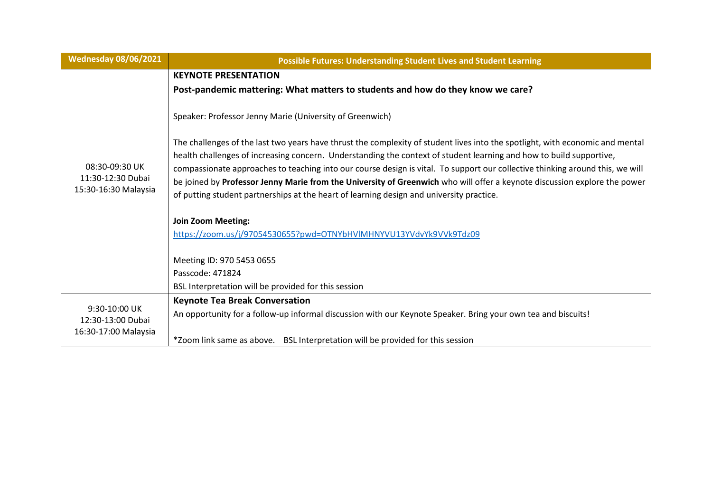| <b>Wednesday 08/06/2021</b>                                 | <b>Possible Futures: Understanding Student Lives and Student Learning</b>                                                                                                                                                                                                                                                                                                                                                                                                                                                                                                                                      |
|-------------------------------------------------------------|----------------------------------------------------------------------------------------------------------------------------------------------------------------------------------------------------------------------------------------------------------------------------------------------------------------------------------------------------------------------------------------------------------------------------------------------------------------------------------------------------------------------------------------------------------------------------------------------------------------|
|                                                             | <b>KEYNOTE PRESENTATION</b>                                                                                                                                                                                                                                                                                                                                                                                                                                                                                                                                                                                    |
|                                                             | Post-pandemic mattering: What matters to students and how do they know we care?                                                                                                                                                                                                                                                                                                                                                                                                                                                                                                                                |
| 08:30-09:30 UK<br>11:30-12:30 Dubai<br>15:30-16:30 Malaysia | Speaker: Professor Jenny Marie (University of Greenwich)                                                                                                                                                                                                                                                                                                                                                                                                                                                                                                                                                       |
|                                                             | The challenges of the last two years have thrust the complexity of student lives into the spotlight, with economic and mental<br>health challenges of increasing concern. Understanding the context of student learning and how to build supportive,<br>compassionate approaches to teaching into our course design is vital. To support our collective thinking around this, we will<br>be joined by Professor Jenny Marie from the University of Greenwich who will offer a keynote discussion explore the power<br>of putting student partnerships at the heart of learning design and university practice. |
|                                                             | <b>Join Zoom Meeting:</b>                                                                                                                                                                                                                                                                                                                                                                                                                                                                                                                                                                                      |
|                                                             | https://zoom.us/j/97054530655?pwd=OTNYbHVlMHNYVU13YVdvYk9VVk9Tdz09                                                                                                                                                                                                                                                                                                                                                                                                                                                                                                                                             |
|                                                             |                                                                                                                                                                                                                                                                                                                                                                                                                                                                                                                                                                                                                |
|                                                             | Meeting ID: 970 5453 0655                                                                                                                                                                                                                                                                                                                                                                                                                                                                                                                                                                                      |
|                                                             | Passcode: 471824                                                                                                                                                                                                                                                                                                                                                                                                                                                                                                                                                                                               |
|                                                             | BSL Interpretation will be provided for this session                                                                                                                                                                                                                                                                                                                                                                                                                                                                                                                                                           |
| 9:30-10:00 UK<br>12:30-13:00 Dubai<br>16:30-17:00 Malaysia  | <b>Keynote Tea Break Conversation</b>                                                                                                                                                                                                                                                                                                                                                                                                                                                                                                                                                                          |
|                                                             | An opportunity for a follow-up informal discussion with our Keynote Speaker. Bring your own tea and biscuits!                                                                                                                                                                                                                                                                                                                                                                                                                                                                                                  |
|                                                             | *Zoom link same as above. BSL Interpretation will be provided for this session                                                                                                                                                                                                                                                                                                                                                                                                                                                                                                                                 |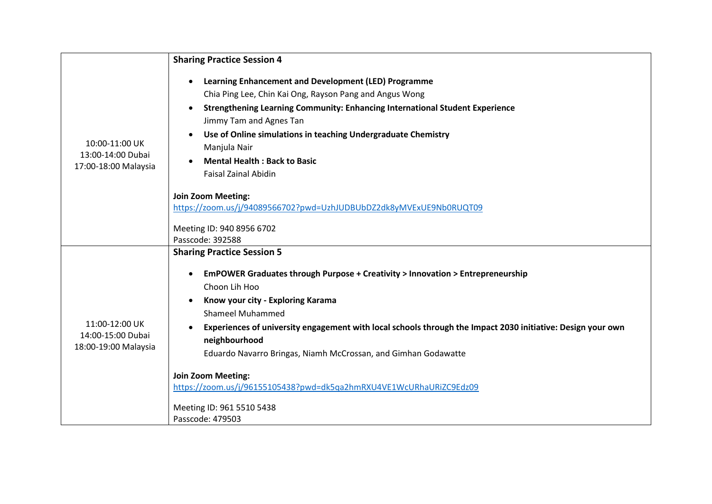|                                                             | <b>Sharing Practice Session 4</b>                                                                                                                                                                                                                                                                                                                                                                                                                                                           |
|-------------------------------------------------------------|---------------------------------------------------------------------------------------------------------------------------------------------------------------------------------------------------------------------------------------------------------------------------------------------------------------------------------------------------------------------------------------------------------------------------------------------------------------------------------------------|
| 10:00-11:00 UK<br>13:00-14:00 Dubai<br>17:00-18:00 Malaysia | Learning Enhancement and Development (LED) Programme<br>Chia Ping Lee, Chin Kai Ong, Rayson Pang and Angus Wong<br><b>Strengthening Learning Community: Enhancing International Student Experience</b><br>Jimmy Tam and Agnes Tan<br>Use of Online simulations in teaching Undergraduate Chemistry<br>Manjula Nair<br><b>Mental Health: Back to Basic</b><br><b>Faisal Zainal Abidin</b><br><b>Join Zoom Meeting:</b><br>https://zoom.us/j/94089566702?pwd=UzhJUDBUbDZ2dk8yMVExUE9Nb0RUQT09 |
|                                                             | Meeting ID: 940 8956 6702<br>Passcode: 392588                                                                                                                                                                                                                                                                                                                                                                                                                                               |
|                                                             | <b>Sharing Practice Session 5</b>                                                                                                                                                                                                                                                                                                                                                                                                                                                           |
|                                                             | EmPOWER Graduates through Purpose + Creativity > Innovation > Entrepreneurship                                                                                                                                                                                                                                                                                                                                                                                                              |
|                                                             | Choon Lih Hoo                                                                                                                                                                                                                                                                                                                                                                                                                                                                               |
|                                                             | Know your city - Exploring Karama                                                                                                                                                                                                                                                                                                                                                                                                                                                           |
| 11:00-12:00 UK<br>14:00-15:00 Dubai<br>18:00-19:00 Malaysia | <b>Shameel Muhammed</b><br>Experiences of university engagement with local schools through the Impact 2030 initiative: Design your own                                                                                                                                                                                                                                                                                                                                                      |
|                                                             | neighbourhood                                                                                                                                                                                                                                                                                                                                                                                                                                                                               |
|                                                             | Eduardo Navarro Bringas, Niamh McCrossan, and Gimhan Godawatte                                                                                                                                                                                                                                                                                                                                                                                                                              |
|                                                             | <b>Join Zoom Meeting:</b>                                                                                                                                                                                                                                                                                                                                                                                                                                                                   |
|                                                             | https://zoom.us/j/96155105438?pwd=dk5qa2hmRXU4VE1WcURhaURiZC9Edz09                                                                                                                                                                                                                                                                                                                                                                                                                          |
|                                                             | Meeting ID: 961 5510 5438                                                                                                                                                                                                                                                                                                                                                                                                                                                                   |
|                                                             | Passcode: 479503                                                                                                                                                                                                                                                                                                                                                                                                                                                                            |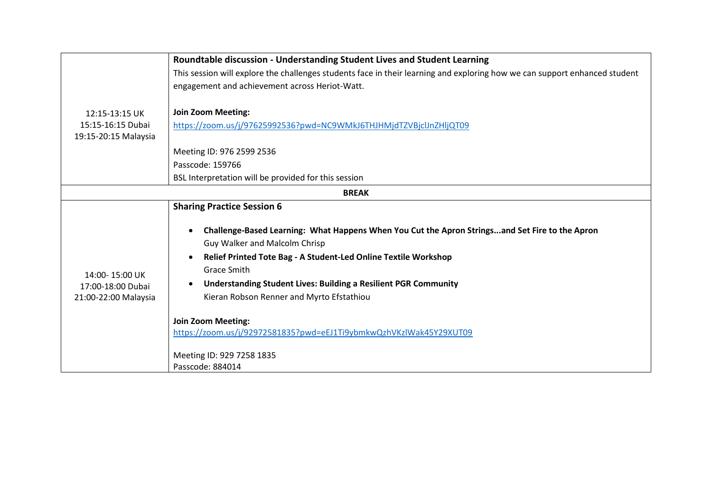|                                                             | Roundtable discussion - Understanding Student Lives and Student Learning                                                                                                                                                                                                                                                                                                                                                                                                                            |
|-------------------------------------------------------------|-----------------------------------------------------------------------------------------------------------------------------------------------------------------------------------------------------------------------------------------------------------------------------------------------------------------------------------------------------------------------------------------------------------------------------------------------------------------------------------------------------|
|                                                             | This session will explore the challenges students face in their learning and exploring how we can support enhanced student                                                                                                                                                                                                                                                                                                                                                                          |
|                                                             | engagement and achievement across Heriot-Watt.                                                                                                                                                                                                                                                                                                                                                                                                                                                      |
| 12:15-13:15 UK<br>15:15-16:15 Dubai<br>19:15-20:15 Malaysia | <b>Join Zoom Meeting:</b><br>https://zoom.us/j/97625992536?pwd=NC9WMkJ6THJHMjdTZVBjcIJnZHljQT09<br>Meeting ID: 976 2599 2536<br>Passcode: 159766<br>BSL Interpretation will be provided for this session                                                                                                                                                                                                                                                                                            |
|                                                             | <b>BREAK</b>                                                                                                                                                                                                                                                                                                                                                                                                                                                                                        |
|                                                             | <b>Sharing Practice Session 6</b>                                                                                                                                                                                                                                                                                                                                                                                                                                                                   |
| 14:00-15:00 UK<br>17:00-18:00 Dubai<br>21:00-22:00 Malaysia | Challenge-Based Learning: What Happens When You Cut the Apron Stringsand Set Fire to the Apron<br>Guy Walker and Malcolm Chrisp<br>Relief Printed Tote Bag - A Student-Led Online Textile Workshop<br><b>Grace Smith</b><br><b>Understanding Student Lives: Building a Resilient PGR Community</b><br>Kieran Robson Renner and Myrto Efstathiou<br><b>Join Zoom Meeting:</b><br>https://zoom.us/j/92972581835?pwd=eEJ1Ti9ybmkwQzhVKzlWak45Y29XUT09<br>Meeting ID: 929 7258 1835<br>Passcode: 884014 |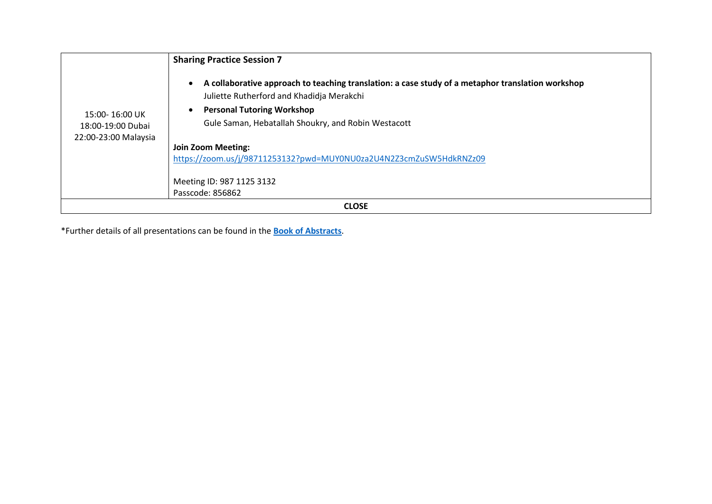|                                                             | <b>Sharing Practice Session 7</b>                                                                                                                                                                                                                                                                                                                                                       |
|-------------------------------------------------------------|-----------------------------------------------------------------------------------------------------------------------------------------------------------------------------------------------------------------------------------------------------------------------------------------------------------------------------------------------------------------------------------------|
| 15:00-16:00 UK<br>18:00-19:00 Dubai<br>22:00-23:00 Malaysia | A collaborative approach to teaching translation: a case study of a metaphor translation workshop<br>$\bullet$<br>Juliette Rutherford and Khadidja Merakchi<br><b>Personal Tutoring Workshop</b><br>Gule Saman, Hebatallah Shoukry, and Robin Westacott<br><b>Join Zoom Meeting:</b><br>https://zoom.us/j/98711253132?pwd=MUY0NU0za2U4N2Z3cmZuSW5HdkRNZz09<br>Meeting ID: 987 1125 3132 |
|                                                             | Passcode: 856862                                                                                                                                                                                                                                                                                                                                                                        |
| <b>CLOSE</b>                                                |                                                                                                                                                                                                                                                                                                                                                                                         |

\*Further details of all presentations can be found in the **[Book of Abstracts](https://lta.hw.ac.uk/wp-content/uploads/LT-Week-2022-Book-of-Abstracts.pdf)**.